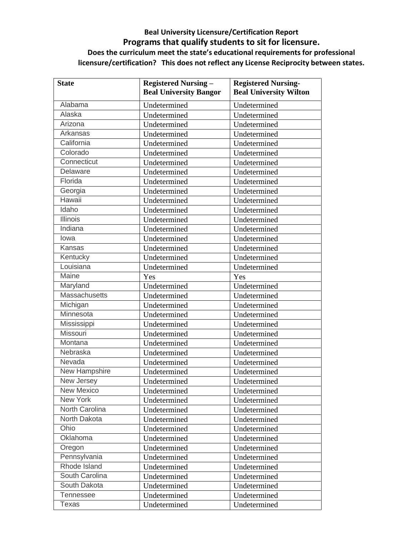## **Beal University Licensure/Certification Report Programs that qualify students to sit for licensure. Does the curriculum meet the state's educational requirements for professional licensure/certification? This does not reflect any License Reciprocity between states.**

| <b>State</b>         | <b>Registered Nursing -</b>   | <b>Registered Nursing-</b>    |
|----------------------|-------------------------------|-------------------------------|
|                      | <b>Beal University Bangor</b> | <b>Beal University Wilton</b> |
| Alabama              | Undetermined                  | Undetermined                  |
| Alaska               | Undetermined                  | Undetermined                  |
| Arizona              | Undetermined                  | Undetermined                  |
| Arkansas             | Undetermined                  | Undetermined                  |
| California           | Undetermined                  | Undetermined                  |
| Colorado             | Undetermined                  | Undetermined                  |
| Connecticut          | Undetermined                  | Undetermined                  |
| Delaware             | Undetermined                  | Undetermined                  |
| Florida              | Undetermined                  | Undetermined                  |
| Georgia              | Undetermined                  | Undetermined                  |
| Hawaii               | Undetermined                  | Undetermined                  |
| Idaho                | Undetermined                  | Undetermined                  |
| Illinois             | Undetermined                  | Undetermined                  |
| Indiana              | Undetermined                  | Undetermined                  |
| lowa                 | Undetermined                  | Undetermined                  |
| Kansas               | Undetermined                  | Undetermined                  |
| Kentucky             | Undetermined                  | Undetermined                  |
| Louisiana            | Undetermined                  | Undetermined                  |
| Maine                | Yes                           | Yes                           |
| Maryland             | Undetermined                  | Undetermined                  |
| Massachusetts        | Undetermined                  | Undetermined                  |
| Michigan             | Undetermined                  | Undetermined                  |
| Minnesota            | Undetermined                  | Undetermined                  |
| Mississippi          | Undetermined                  | Undetermined                  |
| Missouri             | Undetermined                  | Undetermined                  |
| Montana              | Undetermined                  | Undetermined                  |
| Nebraska             | Undetermined                  | Undetermined                  |
| Nevada               | Undetermined                  | Undetermined                  |
| <b>New Hampshire</b> | Undetermined                  | Undetermined                  |
| New Jersey           | Undetermined                  | Undetermined                  |
| <b>New Mexico</b>    | Undetermined                  | Undetermined                  |
| New York             | Undetermined                  | Undetermined                  |
| North Carolina       | Undetermined                  | Undetermined                  |
| North Dakota         | Undetermined                  | Undetermined                  |
| Ohio                 | Undetermined                  | Undetermined                  |
| Oklahoma             | Undetermined                  | Undetermined                  |
| Oregon               | Undetermined                  | Undetermined                  |
| Pennsylvania         | Undetermined                  | Undetermined                  |
| Rhode Island         | Undetermined                  | Undetermined                  |
| South Carolina       | Undetermined                  | Undetermined                  |
| South Dakota         | Undetermined                  | Undetermined                  |
| Tennessee            | Undetermined                  | Undetermined                  |
| Texas                | Undetermined                  | Undetermined                  |